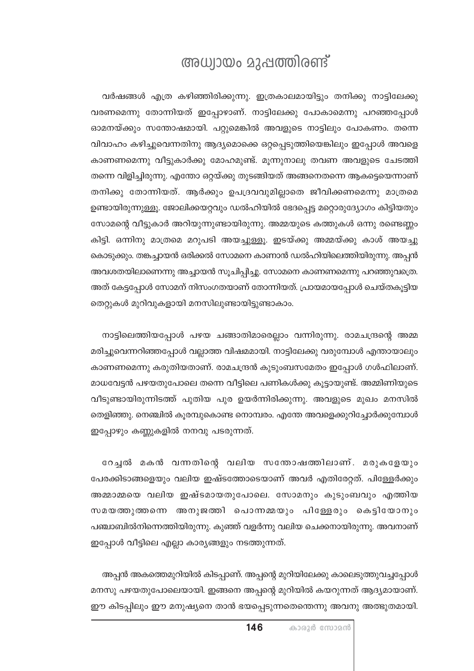## അധ്വായം മുഷത്തിരണ്ട്

വർഷങ്ങൾ എത്ര കഴിഞ്ഞിരിക്കുന്നു. ഇത്രകാലമായിട്ടും തനിക്കു നാട്ടിലേക്കു വരണമെന്നു തോന്നിയത് ഇപ്പോഴാണ്. നാട്ടിലേക്കു പോകാമെന്നു പറഞ്ഞപ്പോൾ ഓമനയ്ക്കും സന്തോഷമായി. പറ്റുമെങ്കിൽ അവളുടെ നാട്ടിലും പോകണം. തന്നെ വിവാഹം കഴിച്ചുവെന്നതിനു ആദ്യമൊക്കെ ഒറ്റപ്പെടുത്തിയെങ്കിലും ഇപ്പോൾ അവളെ കാണണമെന്നു വീട്ടുകാർക്കു മോഹമുണ്ട്. മൂന്നുനാലു തവണ അവളുടെ ചേടത്തി തന്നെ വിളിച്ചിരുന്നു. എന്തോ ഒറ്റയ്ക്കു തുടങ്ങിയത് അങ്ങനെതന്നെ ആകട്ടെയെന്നാണ് തനിക്കു തോന്നിയത്. ആർക്കും ഉപദ്രവവുമില്ലാതെ ജീവിക്കണമെന്നു മാത്രമെ ഉണ്ടായിരുന്നുള്ളൂ. ജോലിക്കയറ്റവും ഡൽഹിയിൽ ഭേദപ്പെട്ട മറ്റൊരുദ്യോഗം കിട്ടിയതും സോമന്റെ വീട്ടുകാർ അറിയുന്നുണ്ടായിരുന്നു. അമ്മയുടെ കത്തുകൾ ഒന്നു രണ്ടെണ്ണം കിട്ടി. ഒന്നിനു മാത്രമെ മറുപടി അയച്ചുള്ളൂ. ഇടയ്ക്കു അമ്മയ്ക്കു കാശ് അയച്ചു കൊടുക്കും. തങ്കച്ചായൻ ഒരിക്കൽ സോമനെ കാണാൻ ഡൽഹിയിലെത്തിയിരുന്നു. അപ്പൻ അവശതയിലാണെന്നു അച്ചായൻ സൂചിപ്പിച്ചു. സോമനെ കാണണമെന്നു പറഞ്ഞുവത്രെ. അത് കേട്ടപ്പോൾ സോമന് നിസംഗതയാണ് തോന്നിയത്. പ്രായമായപ്പോൾ ചെയ്തകൂട്ടിയ തെറ്റുകൾ മുറിവുകളായി മനസിലുണ്ടായിട്ടുണ്ടാകാം.

നാട്ടിലെത്തിയപ്പോൾ പഴയ ചങ്ങാതിമാരെല്ലാം വന്നിരുന്നു. രാമചന്ദ്രന്റെ അമ്മ മരിച്ചുവെന്നറിഞ്ഞപ്പോൾ വല്ലാത്ത വിഷമമായി. നാട്ടിലേക്കു വരുമ്പോൾ എന്തായാലും കാണണമെന്നു കരുതിയതാണ്. രാമചന്ദ്രൻ കുടുംബസമേതം ഇപ്പോൾ ഗൾഫിലാണ്. മാധവേട്ടൻ പഴയതുപോലെ തന്നെ വീട്ടിലെ പണികൾക്കു കൂട്ടായുണ്ട്. അമ്മിണിയുടെ വീടുണ്ടായിരുന്നിടത്ത് പുതിയ പുര ഉയർന്നിരിക്കുന്നു. അവളുടെ മുഖം മനസിൽ തെളിഞ്ഞു. നെഞ്ചിൽ കൂരമ്പുകൊണ്ട നൊമ്പരം. എന്തേ അവളെക്കുറിച്ചോർക്കുമ്പോൾ ഇപ്പോഴും കണ്ണുകളിൽ നനവു പടരുന്നത്.

റേച്ചൽ മകൻ വന്നതിന്റെ വലിയ സന്തോഷത്തിലാണ്. മരുകളേയും പേരക്കിടാങ്ങളെയും വലിയ ഇഷ്ടത്തോടെയാണ് അവർ എതിരേറ്റത്. പിള്ളേർക്കും അമ്മാമ്മയെ വലിയ ഇഷ്ടമായതുപോലെ. സോമനും കുടുംബവും എത്തിയ സമയത്തുത്തന്നെ അനുജത്തി പൊന്നമ്മയും പിള്ളേരും കെട്ടിയോനും പഞ്ചാബിൽനിന്നെത്തിയിരുന്നു. കുഞ്ഞ് വളർന്നു വലിയ ചെക്കനായിരുന്നു. അവനാണ് ഇപ്പോൾ വീട്ടിലെ എല്ലാ കാര്യങ്ങളും നടത്തുന്നത്.

അപ്പൻ അകത്തെമുറിയിൽ കിടപ്പാണ്. അപ്പന്റെ മുറിയിലേക്കു കാലെടുത്തുവച്ചപ്പോൾ മനസു പഴയതുപോലെയായി. ഇങ്ങനെ അപ്പന്റെ മുറിയിൽ കയറുന്നത് ആദ്യമായാണ്. ഈ കിടപ്പിലും ഈ മനുഷ്യനെ താൻ ഭയപ്പെടുന്നതെന്തെന്നു അവനു അത്ഭുതമായി.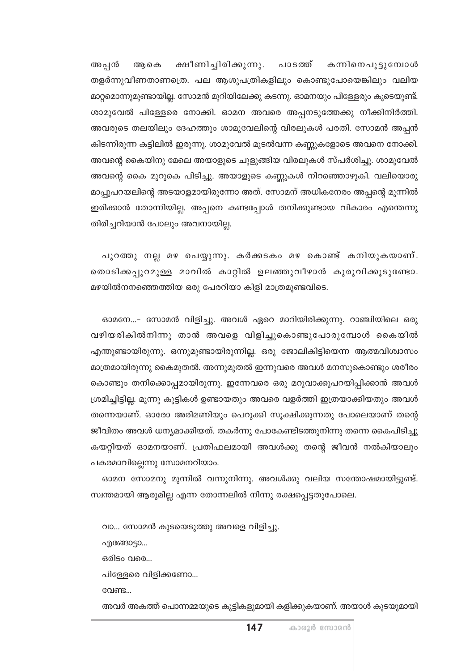കന്നിനെപൂട്ടുമ്പോൾ ക്ഷീണിച്ചിരിക്കുന്നു. അപ്പൻ ആകെ പാടത്ത് തളർന്നുവീണതാണത്രെ. പല ആശുപത്രികളിലും കൊണ്ടുപോയെങ്കിലും വലിയ മാറ്റമൊന്നുമുണ്ടായില്ല. സോമൻ മുറിയിലേക്കു കടന്നു. ഓമനയും പിള്ളേരും കൂടെയുണ്ട്. ശാമുവേൽ പിള്ളേരെ നോക്കി. ഓമന അവരെ അപ്പനടുത്തേക്കു നീക്കിനിർത്തി. അവരുടെ തലയിലും ദേഹത്തും ശാമുവേലിന്റെ വിരലുകൾ പരതി. സോമൻ അപ്പൻ കിടന്നിരുന്ന കട്ടിലിൽ ഇരുന്നു. ശാമുവേൽ മൂടൽവന്ന കണ്ണുകളോടെ അവനെ നോക്കി. അവന്റെ കൈയിനു മേലെ അയാളുടെ ചുളുങ്ങിയ വിരലുകൾ സ്പർശിച്ചു. ശാമുവേൽ അവന്റെ കൈ മുറുകെ പിടിച്ചു. അയാളുടെ കണ്ണുകൾ നിറഞ്ഞൊഴുകി. വലിയൊരു മാപ്പുപറയലിന്റെ അടയാളമായിരുന്നോ അത്. സോമന് അധികനേരം അപ്പന്റെ മുന്നിൽ ഇരിക്കാൻ തോന്നിയില്ല. അപ്പനെ കണ്ടപ്പോൾ തനിക്കുണ്ടായ വികാരം എന്തെന്നു തിരിച്ചറിയാൻ പോലും അവനായില്ല.

പുറത്തു നല്ല മഴ പെയ്യുന്നു. കർക്കടകം മഴ കൊണ്ട് കനിയുകയാണ്. തൊടിക്കപ്പുറമുള്ള മാവിൽ കാറ്റിൽ ഉലഞ്ഞുവീഴാൻ കുരുവിക്കൂടുണ്ടോ. മഴയിൽനനഞ്ഞെത്തിയ ഒരു പേരറിയാ കിളി മാത്രമുണ്ടവിടെ.

ഓമനേ...- സോമൻ വിളിച്ചു. അവൾ ഏറെ മാറിയിരിക്കുന്നു. റാഞ്ചിയിലെ ഒരു വഴിയരികിൽനിന്നു താൻ അവളെ വിളിച്ചുകൊണ്ടുപോരുമ്പോൾ കൈയിൽ എന്തുണ്ടായിരുന്നു. ഒന്നുമുണ്ടായിരുന്നില്ല. ഒരു ജോലികിട്ടിയെന്ന ആത്മവിശ്വാസം മാത്രമായിരുന്നു കൈമുതൽ. അന്നുമുതൽ ഇന്നുവരെ അവൾ മനസുകൊണ്ടും ശരീരം കൊണ്ടും തനിക്കൊപ്പമായിരുന്നു. ഇന്നേവരെ ഒരു മറുവാക്കുപറയിപ്പിക്കാൻ അവൾ ശ്രമിച്ചിട്ടില്ല. മൂന്നു കുട്ടികൾ ഉണ്ടായതും അവരെ വളർത്തി ഇത്രയാക്കിയതും അവൾ തന്നെയാണ്. ഓരോ അരിമണിയും പെറുക്കി സൂക്ഷിക്കുന്നതു പോലെയാണ് തന്റെ ജീവിതം അവൾ ധന്യമാക്കിയത്. തകർന്നു പോകേണ്ടിടത്തുനിന്നു തന്നെ കൈപിടിച്ചു കയറ്റിയത് ഓമനയാണ്. പ്രതിഫലമായി അവൾക്കു തന്റെ ജീവൻ നൽകിയാലും പകരമാവില്ലെന്നു സോമനറിയാം.

ഓമന സോമനു മുന്നിൽ വന്നുനിന്നു. അവൾക്കു വലിയ സന്തോഷമായിട്ടുണ്ട്. സ്വന്തമായി ആരുമില്ല എന്ന തോന്നലിൽ നിന്നു രക്ഷപ്പെട്ടതുപോലെ.

വാ... സോമൻ കുടയെടുത്തു അവളെ വിളിച്ചു.

എങ്ങോട്ടാ...

ഒരിടം വരെ...

പിളേളരെ വിളിക്കണോ...

വേണ്ട...

അവർ അകത്ത് പൊന്നമ്മയുടെ കുട്ടികളുമായി കളിക്കുകയാണ്. അയാൾ കുടയുമായി

കാരൂർ സോമൻ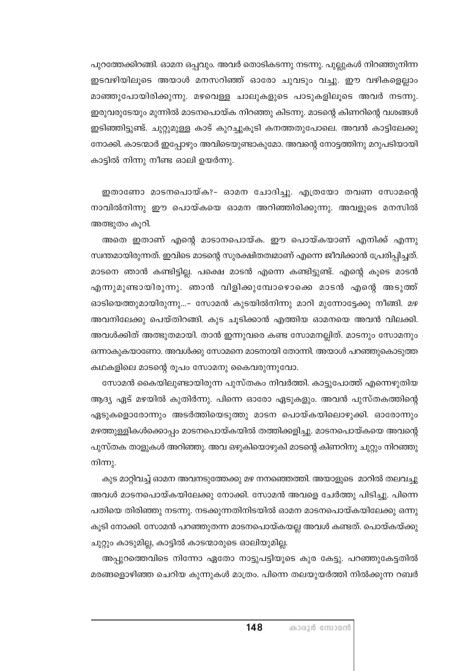പുറത്തേക്കിറങ്ങി. ഓമന ഒപ്പവും. അവർ തൊടികടന്നു നടന്നു. പുല്ലുകൾ നിറഞ്ഞുനിന്ന ഇടവഴിയിലൂടെ അയാൾ മനസറിഞ്ഞ് ഓരോ ചുവടും വച്ചു. ഈ വഴികളെല്ലാം മാഞ്ഞുപോയിരിക്കുന്നു. മഴവെള്ള ചാലുകളുടെ പാടുകളിലൂടെ അവർ നടന്നു. ഇരുവരുടേയും മുന്നിൽ മാടനപൊയ്ക നിറഞ്ഞു കിടന്നു. മാടന്റെ കിണറിന്റെ വശങ്ങൾ ഇടിഞ്ഞിട്ടുണ്ട്. ചുറ്റുമുള്ള കാട് കുറച്ചുകൂടി കനത്തതുപോലെ. അവൻ കാട്ടിലേക്കു നോക്കി. കാടന്മാർ ഇപ്പോഴും അവിടെയുണ്ടാകുമോ. അവന്റെ നോട്ടത്തിനു മറുപടിയായി കാട്ടിൽ നിന്നു നീണ്ട ഓലി ഉയർന്നു.

ഇതാണോ മാടനപൊയ്ക?– ഓമന ചോദിച്ചു. എത്രയോ തവണ സോമന്റെ നാവിൽനിന്നു ഈ പൊയ്കയെ ഓമന അറിഞ്ഞിരിക്കുന്നു. അവളുടെ മനസിൽ അത്ഭുതം കൂറി.

അതെ ഇതാണ് എന്റെ മാടാനപൊയ്ക. ഈ പൊയ്കയാണ് എനിക്ക് എന്നു സ്ഥതമായിരുന്നത്. ഇവിടെ മാടന്റെ സുരക്ഷിതത്വമാണ് എന്നെ ജീവിക്കാൻ പ്രേരിപ്പിച്ചത്. മാടനെ ഞാൻ കണ്ടിട്ടില്ല. പക്ഷെ മാടൻ എന്നെ കണ്ടിട്ടുണ്ട്. എന്റെ കൂടെ മാടൻ എന്നുമുണ്ടായിരുന്നു. ഞാൻ വിളിക്കുമ്പോഴൊക്കെ മാടൻ എന്റെ അടുത്ത് ഓടിയെത്തുമായിരുന്നു...- സോമൻ കുടയിൽനിന്നു മാറി മുന്നോട്ടേക്കു നീങ്ങി. മഴ അവനിലേക്കു പെയ്തിറങ്ങി. കുട ചൂടിക്കാൻ എത്തിയ ഓമനയെ അവൻ വിലക്കി. അവൾക്കിത് അത്ഭുതമായി. താൻ ഇന്നുവരെ കണ്ട സോമനല്ലിത്. മാടനും സോമനും ഒന്നാകുകയാണോ. അവൾക്കു സോമനെ മാടനായി തോന്നി. അയാൾ പറഞ്ഞുകൊടുത്ത കഥകളിലെ മാടന്റെ രൂപം സോമനു കൈവരുന്നുവോ.

സോമൻ കൈയിലുണ്ടായിരുന്ന പുസ്തകം നിവർത്തി. കാട്ടുപോത്ത് എന്നെഴുതിയ ആദ്യ ഏട് മഴയിൽ കുതിർന്നു. പിന്നെ ഓരോ ഏടുകളും. അവൻ പുസ്തകത്തിന്റെ ഏടുകളൊരോന്നും അടർത്തിയെടുത്തു മാടന പൊയ്കയിലൊഴുക്കി. ഓരോന്നും മഴത്തുള്ളികൾക്കൊപ്പം മാടനപൊയ്കയിൽ തത്തിക്കളിച്ചു. മാടനപൊയ്കയെ അവന്റെ പുസ്തക താളുകൾ അറിഞ്ഞു. അവ ഒഴുകിയൊഴുകി മാടന്റെ കിണറിനു ചുറ്റും നിറഞ്ഞു നിന്നു.

കുട മാറ്റിവച്ച് ഓമന അവനടുത്തേക്കു മഴ നനഞ്ഞെത്തി. അയാളുടെ മാറിൽ തലവച്ചു അവൾ മാടനപൊയ്കയിലേക്കു നോക്കി. സോമൻ അവളെ ചേർത്തു പിടിച്ചു. പിന്നെ പതിയെ തിരിഞ്ഞു നടന്നു. നടക്കുന്നതിനിടയിൽ ഓമന മാടനപൊയ്കയിലേക്കു ഒന്നു കൂടി നോക്കി. സോമൻ പറഞ്ഞുതന്ന മാടനപൊയ്കയല്ല അവൾ കണ്ടത്. പൊയ്കയ്ക്കു ചുറ്റും കാടുമില്ല, കാട്ടിൽ കാടന്മാരുടെ ഓലിയുമില്ല.

അപ്പുറത്തെവിടെ നിന്നോ ഏതോ നാട്ടുപട്ടിയുടെ കുര കേട്ടു. പറഞ്ഞുകേട്ടതിൽ മരങ്ങളൊഴിഞ്ഞ ചെറിയ കുന്നുകൾ മാത്രം. പിന്നെ തലയുയർത്തി നിൽക്കുന്ന റബർ